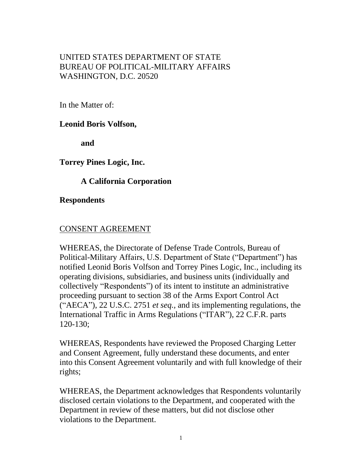## UNITED STATES DEPARTMENT OF STATE BUREAU OF POLITICAL-MILITARY AFFAIRS WASHINGTON, D.C. 20520

In the Matter of:

**Leonid Boris Volfson,**

**and**

**Torrey Pines Logic, Inc.**

**A California Corporation**

**Respondents**

## CONSENT AGREEMENT

WHEREAS, the Directorate of Defense Trade Controls, Bureau of Political-Military Affairs, U.S. Department of State ("Department") has notified Leonid Boris Volfson and Torrey Pines Logic, Inc., including its operating divisions, subsidiaries, and business units (individually and collectively "Respondents") of its intent to institute an administrative proceeding pursuant to section 38 of the Arms Export Control Act ("AECA"), 22 U.S.C. 2751 *et seq.,* and its implementing regulations, the International Traffic in Arms Regulations ("ITAR"), 22 C.F.R. parts 120-130;

WHEREAS, Respondents have reviewed the Proposed Charging Letter and Consent Agreement, fully understand these documents, and enter into this Consent Agreement voluntarily and with full knowledge of their rights;

WHEREAS, the Department acknowledges that Respondents voluntarily disclosed certain violations to the Department, and cooperated with the Department in review of these matters, but did not disclose other violations to the Department.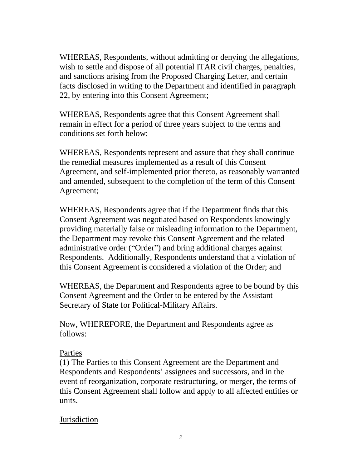WHEREAS, Respondents, without admitting or denying the allegations, wish to settle and dispose of all potential ITAR civil charges, penalties, and sanctions arising from the Proposed Charging Letter, and certain facts disclosed in writing to the Department and identified in paragraph 22, by entering into this Consent Agreement;

WHEREAS, Respondents agree that this Consent Agreement shall remain in effect for a period of three years subject to the terms and conditions set forth below;

WHEREAS, Respondents represent and assure that they shall continue the remedial measures implemented as a result of this Consent Agreement, and self-implemented prior thereto, as reasonably warranted and amended, subsequent to the completion of the term of this Consent Agreement;

WHEREAS, Respondents agree that if the Department finds that this Consent Agreement was negotiated based on Respondents knowingly providing materially false or misleading information to the Department, the Department may revoke this Consent Agreement and the related administrative order ("Order") and bring additional charges against Respondents. Additionally, Respondents understand that a violation of this Consent Agreement is considered a violation of the Order; and

WHEREAS, the Department and Respondents agree to be bound by this Consent Agreement and the Order to be entered by the Assistant Secretary of State for Political-Military Affairs.

Now, WHEREFORE, the Department and Respondents agree as follows:

## Parties

(1) The Parties to this Consent Agreement are the Department and Respondents and Respondents' assignees and successors, and in the event of reorganization, corporate restructuring, or merger, the terms of this Consent Agreement shall follow and apply to all affected entities or units.

# **Jurisdiction**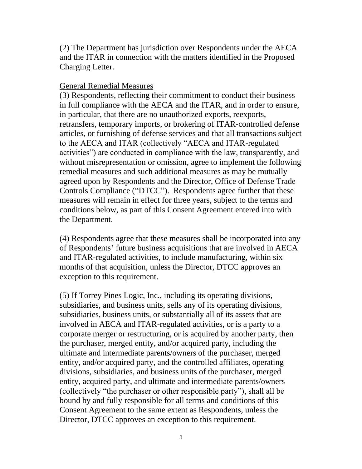(2) The Department has jurisdiction over Respondents under the AECA and the ITAR in connection with the matters identified in the Proposed Charging Letter.

## General Remedial Measures

(3) Respondents, reflecting their commitment to conduct their business in full compliance with the AECA and the ITAR, and in order to ensure, in particular, that there are no unauthorized exports, reexports, retransfers, temporary imports, or brokering of ITAR-controlled defense articles, or furnishing of defense services and that all transactions subject to the AECA and ITAR (collectively "AECA and ITAR-regulated activities") are conducted in compliance with the law, transparently, and without misrepresentation or omission, agree to implement the following remedial measures and such additional measures as may be mutually agreed upon by Respondents and the Director, Office of Defense Trade Controls Compliance ("DTCC"). Respondents agree further that these measures will remain in effect for three years, subject to the terms and conditions below, as part of this Consent Agreement entered into with the Department.

(4) Respondents agree that these measures shall be incorporated into any of Respondents' future business acquisitions that are involved in AECA and ITAR-regulated activities, to include manufacturing, within six months of that acquisition, unless the Director, DTCC approves an exception to this requirement.

(5) If Torrey Pines Logic, Inc., including its operating divisions, subsidiaries, and business units, sells any of its operating divisions, subsidiaries, business units, or substantially all of its assets that are involved in AECA and ITAR-regulated activities, or is a party to a corporate merger or restructuring, or is acquired by another party, then the purchaser, merged entity, and/or acquired party, including the ultimate and intermediate parents/owners of the purchaser, merged entity, and/or acquired party, and the controlled affiliates, operating divisions, subsidiaries, and business units of the purchaser, merged entity, acquired party, and ultimate and intermediate parents/owners (collectively "the purchaser or other responsible party"), shall all be bound by and fully responsible for all terms and conditions of this Consent Agreement to the same extent as Respondents, unless the Director, DTCC approves an exception to this requirement.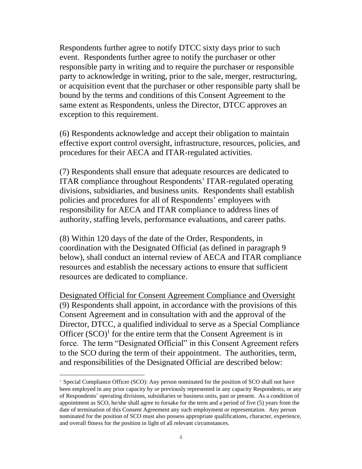Respondents further agree to notify DTCC sixty days prior to such event. Respondents further agree to notify the purchaser or other responsible party in writing and to require the purchaser or responsible party to acknowledge in writing, prior to the sale, merger, restructuring, or acquisition event that the purchaser or other responsible party shall be bound by the terms and conditions of this Consent Agreement to the same extent as Respondents, unless the Director, DTCC approves an exception to this requirement.

(6) Respondents acknowledge and accept their obligation to maintain effective export control oversight, infrastructure, resources, policies, and procedures for their AECA and ITAR-regulated activities.

(7) Respondents shall ensure that adequate resources are dedicated to ITAR compliance throughout Respondents' ITAR-regulated operating divisions, subsidiaries, and business units. Respondents shall establish policies and procedures for all of Respondents' employees with responsibility for AECA and ITAR compliance to address lines of authority, staffing levels, performance evaluations, and career paths.

(8) Within 120 days of the date of the Order, Respondents, in coordination with the Designated Official (as defined in paragraph 9 below), shall conduct an internal review of AECA and ITAR compliance resources and establish the necessary actions to ensure that sufficient resources are dedicated to compliance.

Designated Official for Consent Agreement Compliance and Oversight (9) Respondents shall appoint, in accordance with the provisions of this Consent Agreement and in consultation with and the approval of the Director, DTCC, a qualified individual to serve as a Special Compliance Officer  $(SCO)^1$  for the entire term that the Consent Agreement is in force. The term "Designated Official" in this Consent Agreement refers to the SCO during the term of their appointment. The authorities, term, and responsibilities of the Designated Official are described below:

<sup>1</sup> Special Compliance Officer (SCO): Any person nominated for the position of SCO shall not have been employed in any prior capacity by or previously represented in any capacity Respondents, or any of Respondents' operating divisions, subsidiaries or business units, past or present. As a condition of appointment as SCO, he/she shall agree to forsake for the term and a period of five (5) years from the date of termination of this Consent Agreement any such employment or representation. Any person nominated for the position of SCO must also possess appropriate qualifications, character, experience, and overall fitness for the position in light of all relevant circumstances.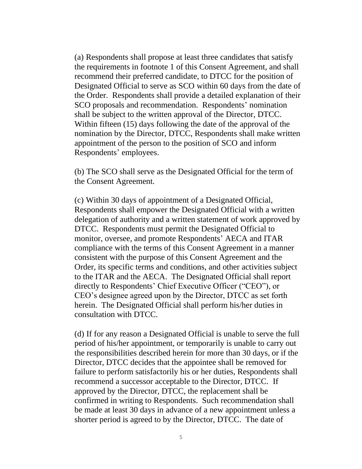(a) Respondents shall propose at least three candidates that satisfy the requirements in footnote 1 of this Consent Agreement, and shall recommend their preferred candidate, to DTCC for the position of Designated Official to serve as SCO within 60 days from the date of the Order. Respondents shall provide a detailed explanation of their SCO proposals and recommendation. Respondents' nomination shall be subject to the written approval of the Director, DTCC. Within fifteen (15) days following the date of the approval of the nomination by the Director, DTCC, Respondents shall make written appointment of the person to the position of SCO and inform Respondents' employees.

(b) The SCO shall serve as the Designated Official for the term of the Consent Agreement.

(c) Within 30 days of appointment of a Designated Official, Respondents shall empower the Designated Official with a written delegation of authority and a written statement of work approved by DTCC. Respondents must permit the Designated Official to monitor, oversee, and promote Respondents' AECA and ITAR compliance with the terms of this Consent Agreement in a manner consistent with the purpose of this Consent Agreement and the Order, its specific terms and conditions, and other activities subject to the ITAR and the AECA. The Designated Official shall report directly to Respondents' Chief Executive Officer ("CEO"), or CEO's designee agreed upon by the Director, DTCC as set forth herein. The Designated Official shall perform his/her duties in consultation with DTCC.

(d) If for any reason a Designated Official is unable to serve the full period of his/her appointment, or temporarily is unable to carry out the responsibilities described herein for more than 30 days, or if the Director, DTCC decides that the appointee shall be removed for failure to perform satisfactorily his or her duties, Respondents shall recommend a successor acceptable to the Director, DTCC. If approved by the Director, DTCC, the replacement shall be confirmed in writing to Respondents. Such recommendation shall be made at least 30 days in advance of a new appointment unless a shorter period is agreed to by the Director, DTCC. The date of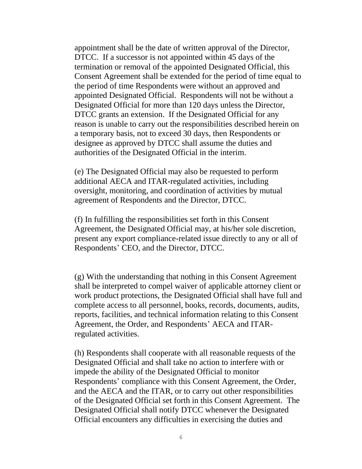appointment shall be the date of written approval of the Director, DTCC. If a successor is not appointed within 45 days of the termination or removal of the appointed Designated Official, this Consent Agreement shall be extended for the period of time equal to the period of time Respondents were without an approved and appointed Designated Official. Respondents will not be without a Designated Official for more than 120 days unless the Director, DTCC grants an extension. If the Designated Official for any reason is unable to carry out the responsibilities described herein on a temporary basis, not to exceed 30 days, then Respondents or designee as approved by DTCC shall assume the duties and authorities of the Designated Official in the interim.

(e) The Designated Official may also be requested to perform additional AECA and ITAR-regulated activities, including oversight, monitoring, and coordination of activities by mutual agreement of Respondents and the Director, DTCC.

(f) In fulfilling the responsibilities set forth in this Consent Agreement, the Designated Official may, at his/her sole discretion, present any export compliance-related issue directly to any or all of Respondents' CEO, and the Director, DTCC.

(g) With the understanding that nothing in this Consent Agreement shall be interpreted to compel waiver of applicable attorney client or work product protections, the Designated Official shall have full and complete access to all personnel, books, records, documents, audits, reports, facilities, and technical information relating to this Consent Agreement, the Order, and Respondents' AECA and ITARregulated activities.

(h) Respondents shall cooperate with all reasonable requests of the Designated Official and shall take no action to interfere with or impede the ability of the Designated Official to monitor Respondents' compliance with this Consent Agreement, the Order, and the AECA and the ITAR, or to carry out other responsibilities of the Designated Official set forth in this Consent Agreement. The Designated Official shall notify DTCC whenever the Designated Official encounters any difficulties in exercising the duties and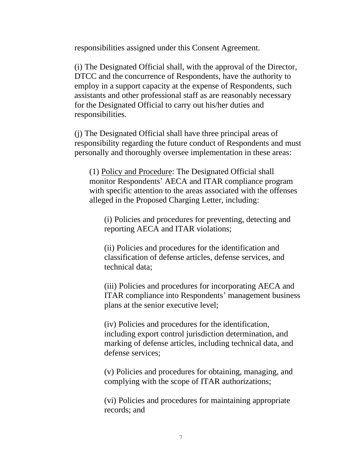responsibilities assigned under this Consent Agreement.

(i) The Designated Official shall, with the approval of the Director, DTCC and the concurrence of Respondents, have the authority to employ in a support capacity at the expense of Respondents, such assistants and other professional staff as are reasonably necessary for the Designated Official to carry out his/her duties and responsibilities.

(j) The Designated Official shall have three principal areas of responsibility regarding the future conduct of Respondents and must personally and thoroughly oversee implementation in these areas:

(1) Policy and Procedure: The Designated Official shall monitor Respondents' AECA and ITAR compliance program with specific attention to the areas associated with the offenses alleged in the Proposed Charging Letter, including:

(i) Policies and procedures for preventing, detecting and reporting AECA and ITAR violations;

(ii) Policies and procedures for the identification and classification of defense articles, defense services, and technical data;

(iii) Policies and procedures for incorporating AECA and ITAR compliance into Respondents' management business plans at the senior executive level;

(iv) Policies and procedures for the identification, including export control jurisdiction determination, and marking of defense articles, including technical data, and defense services;

(v) Policies and procedures for obtaining, managing, and complying with the scope of ITAR authorizations;

(vi) Policies and procedures for maintaining appropriate records; and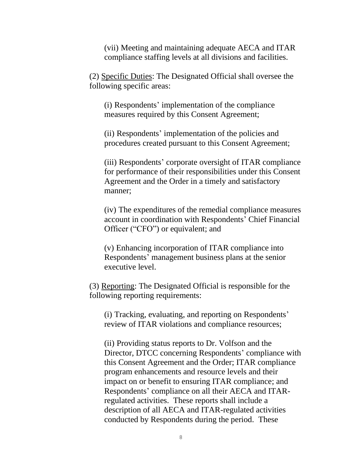(vii) Meeting and maintaining adequate AECA and ITAR compliance staffing levels at all divisions and facilities.

(2) Specific Duties: The Designated Official shall oversee the following specific areas:

(i) Respondents' implementation of the compliance measures required by this Consent Agreement;

(ii) Respondents' implementation of the policies and procedures created pursuant to this Consent Agreement;

(iii) Respondents' corporate oversight of ITAR compliance for performance of their responsibilities under this Consent Agreement and the Order in a timely and satisfactory manner;

(iv) The expenditures of the remedial compliance measures account in coordination with Respondents' Chief Financial Officer ("CFO") or equivalent; and

(v) Enhancing incorporation of ITAR compliance into Respondents' management business plans at the senior executive level.

(3) Reporting: The Designated Official is responsible for the following reporting requirements:

(i) Tracking, evaluating, and reporting on Respondents' review of ITAR violations and compliance resources;

(ii) Providing status reports to Dr. Volfson and the Director, DTCC concerning Respondents' compliance with this Consent Agreement and the Order; ITAR compliance program enhancements and resource levels and their impact on or benefit to ensuring ITAR compliance; and Respondents' compliance on all their AECA and ITARregulated activities. These reports shall include a description of all AECA and ITAR-regulated activities conducted by Respondents during the period. These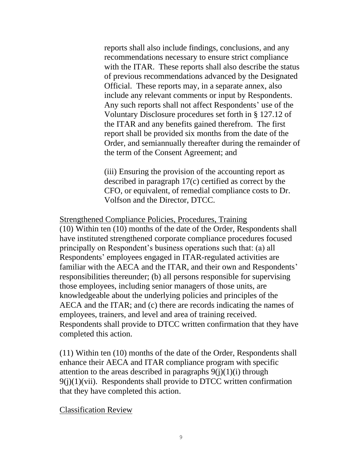reports shall also include findings, conclusions, and any recommendations necessary to ensure strict compliance with the ITAR. These reports shall also describe the status of previous recommendations advanced by the Designated Official. These reports may, in a separate annex, also include any relevant comments or input by Respondents. Any such reports shall not affect Respondents' use of the Voluntary Disclosure procedures set forth in § 127.12 of the ITAR and any benefits gained therefrom. The first report shall be provided six months from the date of the Order, and semiannually thereafter during the remainder of the term of the Consent Agreement; and

(iii) Ensuring the provision of the accounting report as described in paragraph 17(c) certified as correct by the CFO, or equivalent, of remedial compliance costs to Dr. Volfson and the Director, DTCC.

### Strengthened Compliance Policies, Procedures, Training

(10) Within ten (10) months of the date of the Order, Respondents shall have instituted strengthened corporate compliance procedures focused principally on Respondent's business operations such that: (a) all Respondents' employees engaged in ITAR-regulated activities are familiar with the AECA and the ITAR, and their own and Respondents' responsibilities thereunder; (b) all persons responsible for supervising those employees, including senior managers of those units, are knowledgeable about the underlying policies and principles of the AECA and the ITAR; and (c) there are records indicating the names of employees, trainers, and level and area of training received. Respondents shall provide to DTCC written confirmation that they have completed this action.

(11) Within ten (10) months of the date of the Order, Respondents shall enhance their AECA and ITAR compliance program with specific attention to the areas described in paragraphs  $9(j)(1)(i)$  through  $9(i)(1)(vii)$ . Respondents shall provide to DTCC written confirmation that they have completed this action.

Classification Review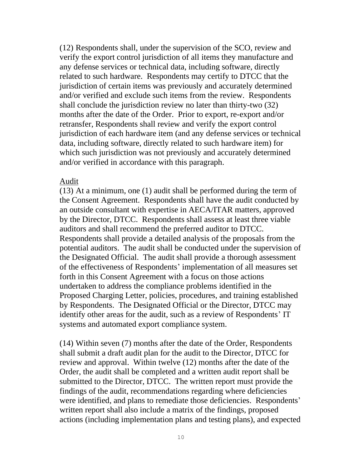(12) Respondents shall, under the supervision of the SCO, review and verify the export control jurisdiction of all items they manufacture and any defense services or technical data, including software, directly related to such hardware. Respondents may certify to DTCC that the jurisdiction of certain items was previously and accurately determined and/or verified and exclude such items from the review. Respondents shall conclude the jurisdiction review no later than thirty-two (32) months after the date of the Order. Prior to export, re-export and/or retransfer, Respondents shall review and verify the export control jurisdiction of each hardware item (and any defense services or technical data, including software, directly related to such hardware item) for which such jurisdiction was not previously and accurately determined and/or verified in accordance with this paragraph.

#### Audit

(13) At a minimum, one (1) audit shall be performed during the term of the Consent Agreement. Respondents shall have the audit conducted by an outside consultant with expertise in AECA/ITAR matters, approved by the Director, DTCC. Respondents shall assess at least three viable auditors and shall recommend the preferred auditor to DTCC. Respondents shall provide a detailed analysis of the proposals from the potential auditors. The audit shall be conducted under the supervision of the Designated Official. The audit shall provide a thorough assessment of the effectiveness of Respondents' implementation of all measures set forth in this Consent Agreement with a focus on those actions undertaken to address the compliance problems identified in the Proposed Charging Letter, policies, procedures, and training established by Respondents. The Designated Official or the Director, DTCC may identify other areas for the audit, such as a review of Respondents' IT systems and automated export compliance system.

(14) Within seven (7) months after the date of the Order, Respondents shall submit a draft audit plan for the audit to the Director, DTCC for review and approval. Within twelve (12) months after the date of the Order, the audit shall be completed and a written audit report shall be submitted to the Director, DTCC. The written report must provide the findings of the audit, recommendations regarding where deficiencies were identified, and plans to remediate those deficiencies. Respondents' written report shall also include a matrix of the findings, proposed actions (including implementation plans and testing plans), and expected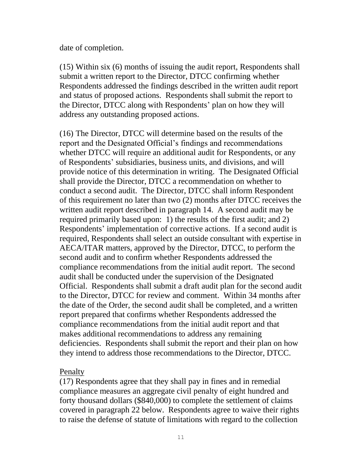date of completion.

(15) Within six (6) months of issuing the audit report, Respondents shall submit a written report to the Director, DTCC confirming whether Respondents addressed the findings described in the written audit report and status of proposed actions. Respondents shall submit the report to the Director, DTCC along with Respondents' plan on how they will address any outstanding proposed actions.

(16) The Director, DTCC will determine based on the results of the report and the Designated Official's findings and recommendations whether DTCC will require an additional audit for Respondents, or any of Respondents' subsidiaries, business units, and divisions, and will provide notice of this determination in writing. The Designated Official shall provide the Director, DTCC a recommendation on whether to conduct a second audit. The Director, DTCC shall inform Respondent of this requirement no later than two (2) months after DTCC receives the written audit report described in paragraph 14. A second audit may be required primarily based upon: 1) the results of the first audit; and 2) Respondents' implementation of corrective actions. If a second audit is required, Respondents shall select an outside consultant with expertise in AECA/ITAR matters, approved by the Director, DTCC, to perform the second audit and to confirm whether Respondents addressed the compliance recommendations from the initial audit report. The second audit shall be conducted under the supervision of the Designated Official. Respondents shall submit a draft audit plan for the second audit to the Director, DTCC for review and comment. Within 34 months after the date of the Order, the second audit shall be completed, and a written report prepared that confirms whether Respondents addressed the compliance recommendations from the initial audit report and that makes additional recommendations to address any remaining deficiencies. Respondents shall submit the report and their plan on how they intend to address those recommendations to the Director, DTCC.

## Penalty

(17) Respondents agree that they shall pay in fines and in remedial compliance measures an aggregate civil penalty of eight hundred and forty thousand dollars (\$840,000) to complete the settlement of claims covered in paragraph 22 below. Respondents agree to waive their rights to raise the defense of statute of limitations with regard to the collection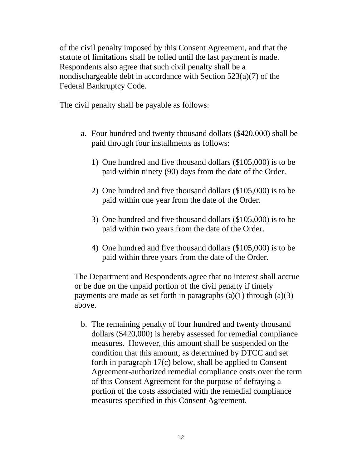of the civil penalty imposed by this Consent Agreement, and that the statute of limitations shall be tolled until the last payment is made. Respondents also agree that such civil penalty shall be a nondischargeable debt in accordance with Section 523(a)(7) of the Federal Bankruptcy Code.

The civil penalty shall be payable as follows:

- a. Four hundred and twenty thousand dollars (\$420,000) shall be paid through four installments as follows:
	- 1) One hundred and five thousand dollars (\$105,000) is to be paid within ninety (90) days from the date of the Order.
	- 2) One hundred and five thousand dollars (\$105,000) is to be paid within one year from the date of the Order.
	- 3) One hundred and five thousand dollars (\$105,000) is to be paid within two years from the date of the Order.
	- 4) One hundred and five thousand dollars (\$105,000) is to be paid within three years from the date of the Order.

The Department and Respondents agree that no interest shall accrue or be due on the unpaid portion of the civil penalty if timely payments are made as set forth in paragraphs  $(a)(1)$  through  $(a)(3)$ above.

b. The remaining penalty of four hundred and twenty thousand dollars (\$420,000) is hereby assessed for remedial compliance measures. However, this amount shall be suspended on the condition that this amount, as determined by DTCC and set forth in paragraph 17(c) below, shall be applied to Consent Agreement-authorized remedial compliance costs over the term of this Consent Agreement for the purpose of defraying a portion of the costs associated with the remedial compliance measures specified in this Consent Agreement.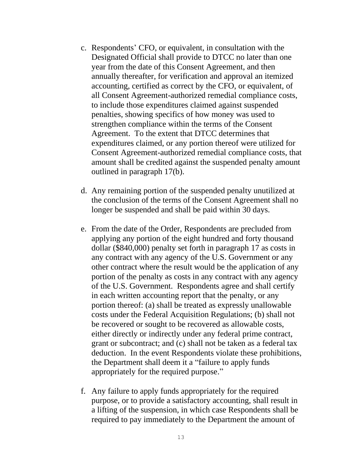- c. Respondents' CFO, or equivalent, in consultation with the Designated Official shall provide to DTCC no later than one year from the date of this Consent Agreement, and then annually thereafter, for verification and approval an itemized accounting, certified as correct by the CFO, or equivalent, of all Consent Agreement-authorized remedial compliance costs, to include those expenditures claimed against suspended penalties, showing specifics of how money was used to strengthen compliance within the terms of the Consent Agreement. To the extent that DTCC determines that expenditures claimed, or any portion thereof were utilized for Consent Agreement-authorized remedial compliance costs, that amount shall be credited against the suspended penalty amount outlined in paragraph 17(b).
- d. Any remaining portion of the suspended penalty unutilized at the conclusion of the terms of the Consent Agreement shall no longer be suspended and shall be paid within 30 days.
- e. From the date of the Order, Respondents are precluded from applying any portion of the eight hundred and forty thousand dollar (\$840,000) penalty set forth in paragraph 17 as costs in any contract with any agency of the U.S. Government or any other contract where the result would be the application of any portion of the penalty as costs in any contract with any agency of the U.S. Government. Respondents agree and shall certify in each written accounting report that the penalty, or any portion thereof: (a) shall be treated as expressly unallowable costs under the Federal Acquisition Regulations; (b) shall not be recovered or sought to be recovered as allowable costs, either directly or indirectly under any federal prime contract, grant or subcontract; and (c) shall not be taken as a federal tax deduction. In the event Respondents violate these prohibitions, the Department shall deem it a "failure to apply funds appropriately for the required purpose."
- f. Any failure to apply funds appropriately for the required purpose, or to provide a satisfactory accounting, shall result in a lifting of the suspension, in which case Respondents shall be required to pay immediately to the Department the amount of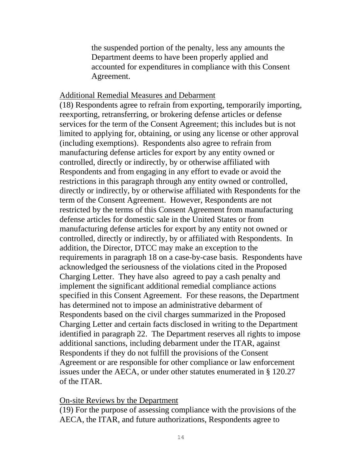the suspended portion of the penalty, less any amounts the Department deems to have been properly applied and accounted for expenditures in compliance with this Consent Agreement.

#### Additional Remedial Measures and Debarment

(18) Respondents agree to refrain from exporting, temporarily importing, reexporting, retransferring, or brokering defense articles or defense services for the term of the Consent Agreement; this includes but is not limited to applying for, obtaining, or using any license or other approval (including exemptions). Respondents also agree to refrain from manufacturing defense articles for export by any entity owned or controlled, directly or indirectly, by or otherwise affiliated with Respondents and from engaging in any effort to evade or avoid the restrictions in this paragraph through any entity owned or controlled, directly or indirectly, by or otherwise affiliated with Respondents for the term of the Consent Agreement. However, Respondents are not restricted by the terms of this Consent Agreement from manufacturing defense articles for domestic sale in the United States or from manufacturing defense articles for export by any entity not owned or controlled, directly or indirectly, by or affiliated with Respondents. In addition, the Director, DTCC may make an exception to the requirements in paragraph 18 on a case-by-case basis. Respondents have acknowledged the seriousness of the violations cited in the Proposed Charging Letter. They have also agreed to pay a cash penalty and implement the significant additional remedial compliance actions specified in this Consent Agreement. For these reasons, the Department has determined not to impose an administrative debarment of Respondents based on the civil charges summarized in the Proposed Charging Letter and certain facts disclosed in writing to the Department identified in paragraph 22. The Department reserves all rights to impose additional sanctions, including debarment under the ITAR, against Respondents if they do not fulfill the provisions of the Consent Agreement or are responsible for other compliance or law enforcement issues under the AECA, or under other statutes enumerated in § 120.27 of the ITAR.

#### On-site Reviews by the Department

(19) For the purpose of assessing compliance with the provisions of the AECA, the ITAR, and future authorizations, Respondents agree to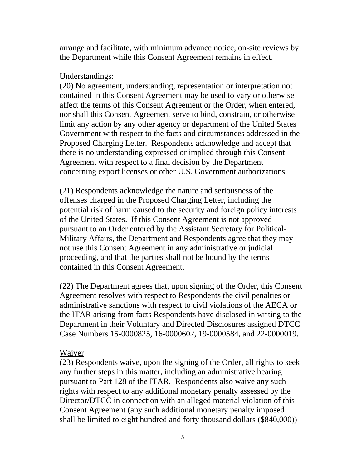arrange and facilitate, with minimum advance notice, on-site reviews by the Department while this Consent Agreement remains in effect.

## Understandings:

(20) No agreement, understanding, representation or interpretation not contained in this Consent Agreement may be used to vary or otherwise affect the terms of this Consent Agreement or the Order, when entered, nor shall this Consent Agreement serve to bind, constrain, or otherwise limit any action by any other agency or department of the United States Government with respect to the facts and circumstances addressed in the Proposed Charging Letter. Respondents acknowledge and accept that there is no understanding expressed or implied through this Consent Agreement with respect to a final decision by the Department concerning export licenses or other U.S. Government authorizations.

(21) Respondents acknowledge the nature and seriousness of the offenses charged in the Proposed Charging Letter, including the potential risk of harm caused to the security and foreign policy interests of the United States. If this Consent Agreement is not approved pursuant to an Order entered by the Assistant Secretary for Political-Military Affairs, the Department and Respondents agree that they may not use this Consent Agreement in any administrative or judicial proceeding, and that the parties shall not be bound by the terms contained in this Consent Agreement.

(22) The Department agrees that, upon signing of the Order, this Consent Agreement resolves with respect to Respondents the civil penalties or administrative sanctions with respect to civil violations of the AECA or the ITAR arising from facts Respondents have disclosed in writing to the Department in their Voluntary and Directed Disclosures assigned DTCC Case Numbers 15-0000825, 16-0000602, 19-0000584, and 22-0000019.

## Waiver

(23) Respondents waive, upon the signing of the Order, all rights to seek any further steps in this matter, including an administrative hearing pursuant to Part 128 of the ITAR. Respondents also waive any such rights with respect to any additional monetary penalty assessed by the Director/DTCC in connection with an alleged material violation of this Consent Agreement (any such additional monetary penalty imposed shall be limited to eight hundred and forty thousand dollars (\$840,000))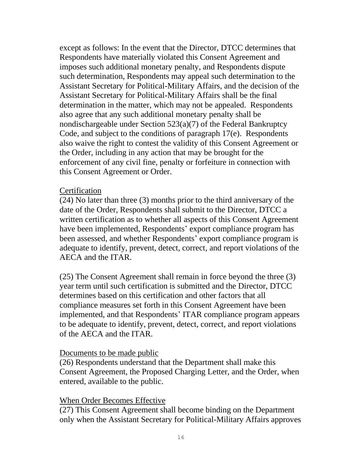except as follows: In the event that the Director, DTCC determines that Respondents have materially violated this Consent Agreement and imposes such additional monetary penalty, and Respondents dispute such determination, Respondents may appeal such determination to the Assistant Secretary for Political-Military Affairs, and the decision of the Assistant Secretary for Political-Military Affairs shall be the final determination in the matter, which may not be appealed. Respondents also agree that any such additional monetary penalty shall be nondischargeable under Section 523(a)(7) of the Federal Bankruptcy Code, and subject to the conditions of paragraph 17(e). Respondents also waive the right to contest the validity of this Consent Agreement or the Order, including in any action that may be brought for the enforcement of any civil fine, penalty or forfeiture in connection with this Consent Agreement or Order.

### **Certification**

(24) No later than three (3) months prior to the third anniversary of the date of the Order, Respondents shall submit to the Director, DTCC a written certification as to whether all aspects of this Consent Agreement have been implemented, Respondents' export compliance program has been assessed, and whether Respondents' export compliance program is adequate to identify, prevent, detect, correct, and report violations of the AECA and the ITAR.

(25) The Consent Agreement shall remain in force beyond the three (3) year term until such certification is submitted and the Director, DTCC determines based on this certification and other factors that all compliance measures set forth in this Consent Agreement have been implemented, and that Respondents' ITAR compliance program appears to be adequate to identify, prevent, detect, correct, and report violations of the AECA and the ITAR.

## Documents to be made public

(26) Respondents understand that the Department shall make this Consent Agreement, the Proposed Charging Letter, and the Order, when entered, available to the public.

## When Order Becomes Effective

(27) This Consent Agreement shall become binding on the Department only when the Assistant Secretary for Political-Military Affairs approves